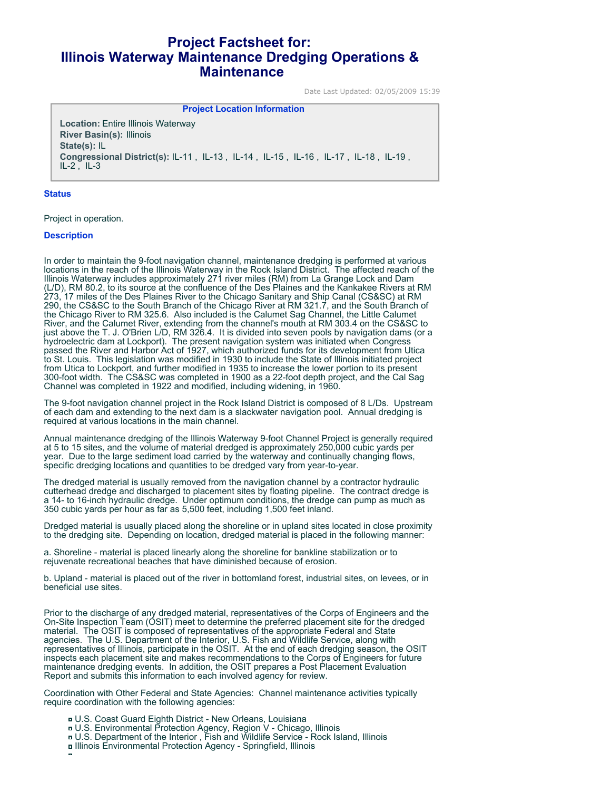# **Project Factsheet for: Illinois Waterway Maintenance Dredging Operations & Maintenance**

Date Last Updated: 02/05/2009 15:39

**Project Location Information** 

**Location:** Entire Illinois Waterway **River Basin(s):** Illinois **State(s):** IL **Congressional District(s):** IL-11 , IL-13 , IL-14 , IL-15 , IL-16 , IL-17 , IL-18 , IL-19 ,  $IL-2$ ,  $IL-3$ 

#### **Status**

Project in operation.

#### **Description**

In order to maintain the 9-foot navigation channel, maintenance dredging is performed at various locations in the reach of the Illinois Waterway in the Rock Island District. The affected reach of the Illinois Waterway includes approximately 271 river miles (RM) from La Grange Lock and Dam (L/D), RM 80.2, to its source at the confluence of the Des Plaines and the Kankakee Rivers at RM 273, 17 miles of the Des Plaines River to the Chicago Sanitary and Ship Canal (CS&SC) at RM 290, the CS&SC to the South Branch of the Chicago River at RM 321.7, and the South Branch of the Chicago River to RM 325.6. Also included is the Calumet Sag Channel, the Little Calumet River, and the Calumet River, extending from the channel's mouth at RM 303.4 on the CS&SC to just above the T. J. O'Brien L/D, RM 326.4. It is divided into seven pools by navigation dams (or a hydroelectric dam at Lockport). The present navigation system was initiated when Congress passed the River and Harbor Act of 1927, which authorized funds for its development from Utica to St. Louis. This legislation was modified in 1930 to include the State of Illinois initiated project from Utica to Lockport, and further modified in 1935 to increase the lower portion to its present 300-foot width. The CS&SC was completed in 1900 as a 22-foot depth project, and the Cal Sag Channel was completed in 1922 and modified, including widening, in 1960.

The 9-foot navigation channel project in the Rock Island District is composed of 8 L/Ds. Upstream of each dam and extending to the next dam is a slackwater navigation pool. Annual dredging is required at various locations in the main channel.

Annual maintenance dredging of the Illinois Waterway 9-foot Channel Project is generally required at 5 to 15 sites, and the volume of material dredged is approximately 250,000 cubic yards per year. Due to the large sediment load carried by the waterway and continually changing flows, specific dredging locations and quantities to be dredged vary from year-to-year.

The dredged material is usually removed from the navigation channel by a contractor hydraulic cutterhead dredge and discharged to placement sites by floating pipeline. The contract dredge is a 14- to 16-inch hydraulic dredge. Under optimum conditions, the dredge can pump as much as 350 cubic yards per hour as far as 5,500 feet, including 1,500 feet inland.

Dredged material is usually placed along the shoreline or in upland sites located in close proximity to the dredging site. Depending on location, dredged material is placed in the following manner:

a. Shoreline - material is placed linearly along the shoreline for bankline stabilization or to rejuvenate recreational beaches that have diminished because of erosion.

b. Upland - material is placed out of the river in bottomland forest, industrial sites, on levees, or in beneficial use sites.

Prior to the discharge of any dredged material, representatives of the Corps of Engineers and the On-Site Inspection Team (OSIT) meet to determine the preferred placement site for the dredged material. The OSIT is composed of representatives of the appropriate Federal and State agencies. The U.S. Department of the Interior, U.S. Fish and Wildlife Service, along with representatives of Illinois, participate in the OSIT. At the end of each dredging season, the OSIT inspects each placement site and makes recommendations to the Corps of Engineers for future maintenance dredging events. In addition, the OSIT prepares a Post Placement Evaluation Report and submits this information to each involved agency for review.

Coordination with Other Federal and State Agencies: Channel maintenance activities typically require coordination with the following agencies:

- U.S. Coast Guard Eighth District New Orleans, Louisiana
- U.S. Environmental Protection Agency, Region V Chicago, Illinois
- U.S. Department of the Interior , Fish and Wildlife Service Rock Island, Illinois
- Illinois Environmental Protection Agency Springfield, Illinois